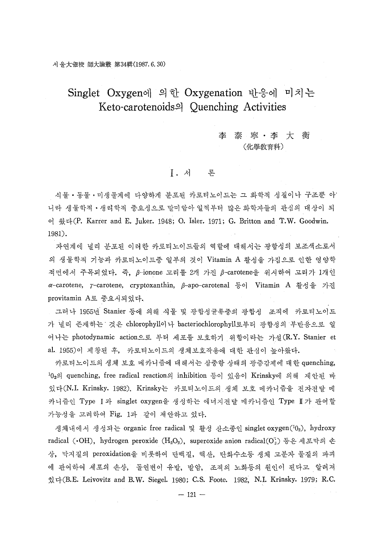# 李泰寧·李大衡 〈化學敎育科)

#### I. 론

식물 • 동물 • 미생물계에 다양하게 분포된 카로티노이드는 화학적 성질이나 구조뿐 아· 니라 생물학적 ·생리학적 중요성으로 말미암아 일찍부터 많은 화학자들의 관심의 대상이 되 어 왔다 $(P.$  Karrer and E. Juker. 1948; O. Isler. 1971; G. Britton and T.W. Goodwin. 1981) .

자연계에 널리 분포된 이러한 카로티노이드들의 역할에 대해서는 광합성의 보조색소로서 생물학적 꺼능과 까로티노이드중 일부의 것이 Vitamin A 활성을 가짐우로 인한 영양학 적면에서 주목되었다. 즉, β-ionone 고리를 2개 가진 β-carotene을 위시하여 고리가 1개인  $\alpha$ -carotene, γ-carotene, cryptoxanthin, β-apo-carotenal 등이 Vitamin A 활성을 가진 provitamin A로 중요시되었다.

그러나 1955년 Stanier 등에 의해 식물 및 광합성균류증의 광합성 조직에 카로티노이드 가 널리 존재하는 것은 chlorophyll이나 bacteriochlorophyll로부터 광합성의 부반응으로 일 어나는 photodynamic action으로 부터 세포를 보호하기 위함이라는 가설 (R.Y. Stanier et al. 1955) 제창된 후, 카로티노이드의 생체보호작용에 대한 관심이 높아왔다.

카로티노이드의 생체 보호 메카니즘에 대해서는 삼중항 상태의 광증감제에 대한 quenching, <sup>1</sup>0<sub>2</sub>의 quenching, free radical reaction의 inhibition 등이 있음이 Krinsky에 의해 제안된 바 있다(N.I. Krinsky. 1982). Krinsky는 카로티노이드의 생체 보호 메카니즘을 전자전달 메 카니즘이 Type Ⅰ과 singlet oxygen을 생성하는 에너지저달 메카니즘이 Type Ⅱ가 과여할 가능성을 고려하여 Fig. 1과 같이 제안하고 있다.

생체내에서 생성되는 organic free radical 및 활성 산소종인 singlet oxygen(10<sub>2</sub>), hydroxy radical (·OH), hydrogen peroxide (H<sub>2</sub>O<sub>2</sub>), superoxide anion radical(O<sub>2</sub>) 등은 세포막의 손 상, 막지질의 peroxidation을 비롯하여 단백질, 핵산, 탄화수소등 생체 고분자 물질의 파괴 관여하여 세포의 손상, 돌연변이 유발, 발암, 조직의 노화등의 원인이 된다고 알려져 있다(B. Leivovitz and B.W. Siegel. 1980; C.S. Foote. 1982, N. I. Krinsky. 1979; R.C.

 $- 121 -$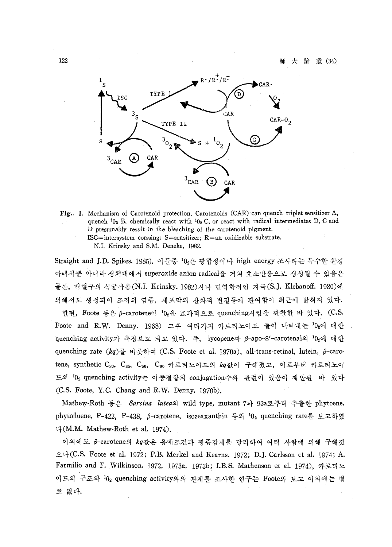

Fig.. 1. Mechanism of Carotenoid protection. Carotenoids (CAR) can quench triplet sensitizer A, quench  $10_2$  B, chemically react with  $10_2$  C, or react with radical intermediates D, C and D presumably result in the bleaching of the carotenoid pigment. ISC=intersystem corssing; S=sensitizer; R=an oxidizable substrate.

N.I. Krinsky and S.M. Deneke, 1982.

 $\rm Straight$  and J.D. Spikes. 1985). 이들중  $^{\rm 10}$ g은 광합성이나 high energy 조사라는 특수한 환경 아래서뿐 아니라 생체내에서 superoxide anion radical을 거쳐 효소반응으로 생성될 수 있음은 물론, 백혈구의 식균작용(N.I. Krinsky. 1982)시나 면역학적인 자극(S.J. Klebanoff. 1980)에 의해서도 생성되어 조직의 염증, 세포막의 산화적 변질등에 관여함이 최근에 밝혀져 있다. 한펀, Foote 등은  $\beta$ -carotene이  ${}^{10}2\frac{0}{2}$  효과적으로 quenching시킴을 관찰한 바 있다. (C.S. Foote and R.W. Denny. 1968) 그후 여러가지 카로티노이드 들이 나타내는  $0_2$ 에 대한 quenching activity가 측정보고 되고 있다. 즉, lycopene과 β-apo-8'-carotenal의 <sup>1</sup>0<sub>2</sub>에 대한 quenching rate  $(kq)$ 를 비롯하여 (C.S. Foote et al. 1970a), all-trans-retinal, lutein,  $\beta$ -caro-

tene, synthetic C<sub>30</sub>, C<sub>35</sub>, C<sub>50</sub>, C<sub>60</sub> 카로티노이드의 kq값이 구해졌고, 이로부터 카로티노이 드의 <sup>1</sup>02 quenching activity는 이중결합의 conjugation수와 관련이 있음이 제안된 바 있다 (C.S. Foote, Y.C. Chang and R.W. Denny. 1970b).

Mathew-Roth 등은 Sarcina lutea의 wild type, mutant 7과 93a로부터 추출한 phytoene, phytofluene, P-422, P-438, B-carotene, isozeaxanthin 등의 <sup>1</sup>0<sub>2</sub> quenching rate를 보고하였  $\nu\text{+}(M, M, \text{Mathew-Roth et al. } 1974).$ 

이외에도 β-carotene의 kg값은 용매조건과 광증감제를 달리하여 여러 사람에 의해 구해졌 으나 Foote et a!. 1972; P.B. Merkel and Kearns. 1972; D.J. Carlsson et a!. 1974; A. Farmilio and F.Wilkinson. 1972. 1973a. 1973b; LB.S. Mathenson et a!. 1974), 카로티 이드의 구조와 <sup>1</sup>0<sub>2</sub> quenching activity와의 관계를 조사한 연구는 Foote의 보고 이외에는 별 로 없다.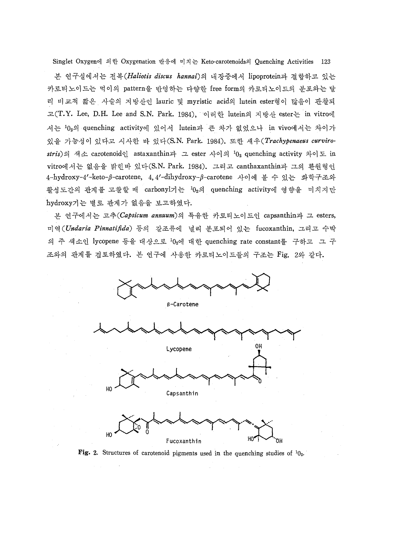본 연구실에서는 전복 (Haliotis discus hannai)의 내장중에서 lipoprotein과 결합하고 있는 카로티노이드는 먹이의 pattern을 반영하는 다양한 free form의 카로티노이드의 분포와는 달 리 비교적 짧은 사슬의 지방산인 lauric 및 myristic acid의 lutein ester형이 많음이 관찰되 고 (T.Y. Lee, D.H. Lee and S.N. Park. 1984), 이러한 lutein의 지방산 ester는 in vitro에 서는 10<sub>2</sub>의 quenching activity에 있어서 lutein과 큰 차가 없었으나 in vivo에서는 차이가 있을 가능성이 있다고 시사한 바 있다(S.N. Park. 1984). 또한 새우 (Trachypenaeus curvirostris)의 색소 carotenoid인 astaxanthin과 그 ester 사이의  $10<sub>2</sub>$  quenching activity 차이도 in vitro에서는 없음을 밝힌바 있다(S.N. Park. 1984). 그리고 canthaxanthin과 그의 환원형인 4-hydroxy-4'-keto-β-carotene, 4, 4'-dihydroxy-β-carotene 사이에 볼 수 있는 화학구조와 활성도간의 관계를 고찰할 때 carbonyl기는  $^10_2$ 의 quenching activity에 영향을 미치지만 hydroxy기는 별로 관계가 없음을 보고하였다.

본 연구에서는 고추(Capsicum annuum)의 특유한 카로티노이드인 capsanthin과 그 esters, 미역 *Pinnatifida)* 등의 갈조류에 널리 분포되어 있는 fucoxanthin, 그리고 수박 의 주 색소인 lycopene 등을 대상으로 <sup>1</sup>0<sub>2</sub>에 대한 quenching rate constant를 구하고 그 구 조와의 관계를 검토하였다. 본 연구에 사용한 카로티노이드들의 구조는 Fig. 2와 같다.



Fig. 2. Structures of carotenoid pigments used in the quenching studies of  $10<sub>2</sub>$ .

!

'nн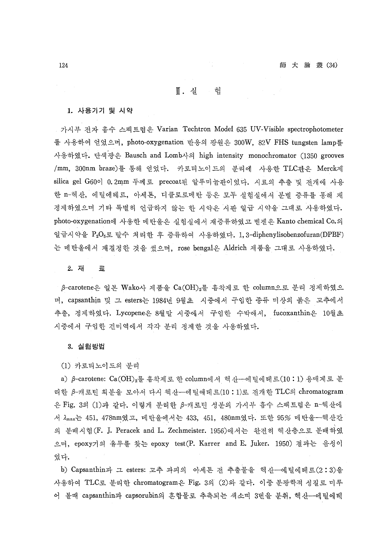#### $\mathbb{I}$ . 실 헊

1. 사용기기 및 시약

. 가시부 저자 흡수 스펙트럼은 Varian Techtron Model 635 UV-Visible spectrophotometer 를 사용하여 얻었으며, photo-oxygenation 반응의 광원은 300W, 82V FHS tungsten lamp를 사용하였다. 단색광은 Bausch and Lomb사의 high intensity monochromator (1350 grooves /mm, 300nm braze)를 통해 얻었다. 카로티노이드의 분리에 사용한 TLC판은 Merck제 silica gel G60이 0.2mm 두께로 precoat된 알루미늄판이었다. 시료의 추출 및 저개에 사용 한 n-헥산, 에틸에테르, 아세톤, 디클로로메탄 등은 모두 실험실에서 분별 증류를 통해 재 정제하였으며 기타 특별히 언급하지 않는 하 시약은 시판 일급 시약을 그대로 사용하였다. photo-oxygenation에 사용한 메탄올은 실험실에서 재증류하였고 벤젠은 Kanto chemical Co.의 일급시약을 P<sub>2</sub>O<sub>5</sub>로 탈수 쳐리한 후 증류하여 사용하였다. 1,3-diphenylisobenzofuran(DPBF) 는 메탄올에서 재결정한 것을 썼으며, rose bengal은 Aldrich 제품을 그대로 사용하였다.

2. λή  $\Xi$ 

 $\beta$ -carotene은 일본 Wako사 제품을 Ca(OH)<sub>2</sub>를 흡착제로 한 column으로 분리 정제하였으 며, capsanthin 및 그 esters는 1984년 9월초 시중에서 구입한 종류 미상의 붉은 고추에서 추출, 정제하였다. Lycopene은 8월말 시중에서 구입한 수박에서, fucoxanthin은 10월초 시중에서 구엽한 건미역에서 각각 분리 정제한 것을 사용하었다.

3. 실험방법

(1) 카로티 노이 도의 분리

a)  $\beta$ -carotene:  $Ca(OH)_2 \leq$  흡착제로 한 column에서 핵산--에틸에데르(10:1) 용매계로 분 리한  $\beta$ -캐로틴 획분을 모아서 다시 헥산--에틸에데르(10:1)로 전개한 TLC의 chromatogram 은 Fig. 3의 (1)과 같다. 이렇게 분리한 β-캐로틴 성분의 가시부 흡수 스펙트럼은 n-헥산에 서 Amax는 451, 478nm였고, 메탄올에서는 433, 451, 480nm였다. 또한 95% 메탄올--헥산간 의 분배시험 (F. J. Peracek and L. Zechmeister. 1956)에서는 완전히 헥산층으로 분배하였 으며, epoxy기의 유무를 찾는 epoxy test(P. Karrer and E. Juker. 1950) 결과는 음성이 었다.

b) Capsanthin과 그 esters: 고추 과피의 아세톤 전 추출물을 헥산--에틸에테르(2:3)을 사용하여 TLC로 분리한 chromatogram은 Fig. 3의 (2)와 같다. 이중 분광학적 성질로 미루 어 볼때 capsanthin과 capsorubin의 혼합물로 추측되는 색소며 3번을 분취, 헥산--에틸에테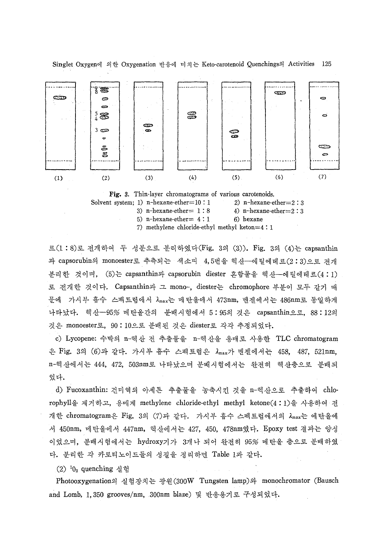

Fig. 3. Thin-layer chromatograms of various carotenoids. Solvent system; 1) n-hexane-ether $=10:1$  2) n-hexane-ether $=2:3$ 3) n-hexane-ether  $= 1 : 8$  4) n-hexane-ether  $= 2 : 3$ 5) n-hexane-ether $= 4:1$  6) hexane 7) methylene chloride-ethyl methyl keton=4 : 1

르(1:8)로 전개하여 두 성분으로 분리하였다(Fig. 3의 (3)). Fig. 3의 (4)는 capsanthin 과 capsorubin의 monoester로 추측되는 색소띠 4,5번을 헥산--에틸에테르(2:3)으로 저개 분리한 것이며, (5)는 capsanthin과 capsorubin diester 혼합물을 헥산--에틸에테르(4:1) 로 전개한 것이다. Capsanthin과 그 mono-, diester는 chromophore 부분이 모두 같기 때 문에 가시부 흡수 스펙트럼에서  $\lambda_{\rm max}$ 는 메탄올에서 473nm, 벤젠에서는 486nm로 동일하게 나타났다. 헥산- 95% 메탄올간의 분배시험에서 5:95의 것은 capsanthin으로, 88:12의 것은 monoester로, 90:10으로 분배된 것은 diester로 각각 추정되었다.

c) Lycopene: 수박의 n-헥산 전 추출물을 n-헥산을 용매로 사용한 TLC chromatogram 은 Fig. 3의 (6)과 같다. 가시부 흡수 스펙트럼은  $\lambda_{\text{max}}$ 가 벤젠에서는 458, 487, 521nm, n-헥산에서는 444, 472, 503nm로 나타났으며 분배시험에서는 완전히 헥산충으로 분배되 었다.

d) Fucoxanthin: 건미역의 아세톤 추출물을 농축시킨 것을 n-헥산으로 추출하여 chlorophyl1 제거하고, 용매계 methylene chloride-ethyl methyl ketone(4: 1)을 사용하여 개한 chromatogram은 Fig. 3의 (7)과 같다. 가시부 흡수 스펙트럼에서의 lmax는 에탄올에 서 450nm, 메탄올에서 447nm, 헥산에서는 427, 450, 478nm였다. Epoxy test 결과는 양성 이었으며, 분배시험에서는 hydroxy기가 3개나 되어 완전히 95% 메탄올 층으로 분배하였 다. 분리한 각 카로티노이드들의 성질을 정리하면 Table 1과 같다.

 $(2)$ <sup>1</sup>0<sub>2</sub> quenching 실험

Photooxygenation의 실험장치는 광원 (300W Tungsten lamp)와 monochromator (Bausch and Lomb, 1,350 grooves/nm, 300nm blaze) 및 반응용기로 구성되었다.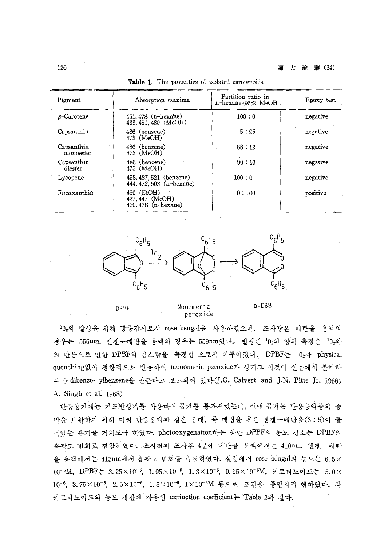| Pigment                 | Absorption maxima                                        | Partition ratio in<br>n-hexane-95% MeOH | Epoxy test |
|-------------------------|----------------------------------------------------------|-----------------------------------------|------------|
| $\beta$ -Carotene       | 451, 478 (n-hexane)<br>433, 451, 480 (MeOH)              | 100:0                                   | negative   |
| Capsanthin              | 486 (benzene)<br>$473 \cdot (MeOH)$                      | 5:95                                    | negative   |
| Capsanthin<br>monoester | 486 (benzene)<br>473 (MeOH)                              | 88:12                                   | negative   |
| Capsanthin<br>diester   | 486 (benzene)<br>473 (MeOH)                              | 90:10                                   | negative   |
| Lycopene                | 458, 487, 521 (benzene)<br>444, 472, 503 $(n$ -hexane)   | 100:0                                   | negative   |
| Fucoxanthin             | 450 (EtOH)<br>427, 447 (MeOH)<br>450, 478 $(n - hexane)$ | 0:100                                   | positive   |

Table 1. The properties of isolated carotenoids.



10<sub>2</sub>의 발생을 위해 광증감제로서 rose bengal을 사용하였으며, 조사광은 메탄올 용액의 경우는 556nm, 벤젠←메탄울 용액의 경우는 559nm였다. 발생된 10<sub>2</sub>의 양의 측정은 10<sub>2</sub>와 의 반응으로 인한 DPBF의 감소량을 측정함 으로서 이루어졌다. DPBF는 102과 physical quenching없이 정량적으로 반응하여 monomeric peroxide가 생기고 이것이 실온에서 분해하 여 0-dibenzo- ylbenzene을 만든다고 보고되어 있다(J.G. Calvert and J.N. Pitts Jr. 1966; A. Singh et al. 1968)

peroxide

반응용기에는 기포발생기를 사용하여 공기블 통과시켰는데, 이때 공기는 반응용액중의 발을 보완하기 위해 미리 반응용액과 같은 용매, 즉 메탄올 혹은 벤젠--메탄올(3:5)이 들 어있는 용기를 거치도록 하였다. photooxygenation하는 동안 DPBF의 농도 감소는 DPBF의 흡광도 변화로 관찰하였다. 조사전과 조사후 4분에 메탄을 용액에서는 410nm, 벤젠--메탄 올 용액에서는 413nm에서 흡광도 변화를 측정하였다. 실험에서 rose bengal의 농도는 6.5× 10<sup>-5</sup>M, DPBF는 3.25×10<sup>-5</sup>, 1.95×10<sup>-5</sup>, 1.3×10<sup>-5</sup>, 0.65×10<sup>-5</sup>M, 카로티노이드는 5.0× 10<sup>-6</sup>, 3.75×10<sup>-6</sup>, 2.5×10<sup>-6</sup>, 1.5×10<sup>-6</sup>, 1×10<sup>-6</sup>M 등으로 조건을 통일시켜 행하였다. 각 카로티노이드의 농도 계산에 사용한 extinction coefficient는 Table 2와 같다.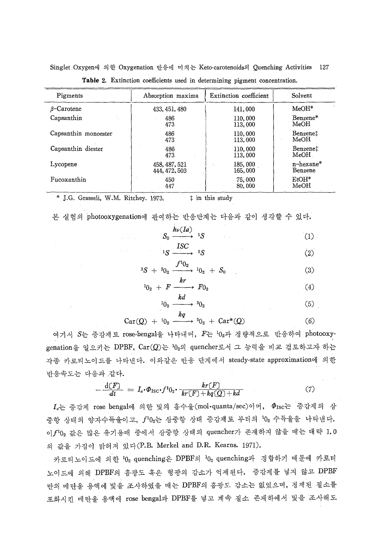| Pigments             | Absorption maxima | Extinction coefficient | Solvent              |
|----------------------|-------------------|------------------------|----------------------|
| $\beta$ -Carotene    | 433, 451, 480     | 141,000                | $MeOH*$              |
| Capsanthin           | 486               | 110,000                | Benzene*             |
|                      | 473               | 113,000                | MeOH                 |
| Capsanthin monoester | 486               | 110,000                | Benzene <sup>†</sup> |
|                      | 473               | 113,000                | MeOH                 |
| Capsanthin diester   | 486               | 110,000                | Benzene‡             |
|                      | 473               | 113,000                | MeOH                 |
| Lycopene             | 458, 487, 521     | 185,000                | $n$ -hexane $*$      |
|                      | 444, 472, 503     | 165,000                | Benzene              |
| Fucoxanthin          | 450               | 75,000                 | $EtOH*$              |
|                      | 447               | 80,000                 | MeOH                 |

Table 2. Extinction coefficients used in determining pigment concentration.

\* J.G. Grasseli, W.M. Ritchey. 1973.  $\qquad$   $\qquad$  in this study

본 실험의 photooxygenation에 관여하는 반응단계는 다음과 같이 생각할 수 있다.

 $S_0 \xrightarrow{\hbar \nu (1a)} {}^{1}S$  (1) *ISC*

$$
{}^{1}S \xrightarrow{\longrightarrow} {}^{3}S
$$
 (2)

$$
{}^{3}S + {}^{3}0_{2} \xrightarrow{f^{1}0_{2}} {}^{1}0_{2} + S_{0} \tag{3}
$$

$$
{}^{10}0_2 + F \xrightarrow{kr} F0_2 \tag{4}
$$

$$
{}^{1}0_{2} \xrightarrow{k a} {}^{3}0_{2} \tag{5}
$$

$$
Car(Q) + {}^{10}2 \xrightarrow{kq} {}^{30}2 + Car^{*}(Q)
$$
 (6)

여기서  $S$ 는 증감제로 rose-bengal을 나타내며,  $F$ 는  $^10_2$ 과 정량적으로 반응하여 photooxygenation을 일으키는 DPBF,  $\text{Car}(Q)$ 는  $10_2$ 의 quencher로서 그 능력을 비교 검토하고자 하는 각종 카로티노이드를 나타낸다. 이와같은 반응 단계에서 steady-state approximation에 의한 반응속도는 다음과 같다.

$$
-\frac{d[F]}{dt} = I_a \cdot \Phi_{\text{ISC}} \cdot f^1 0_2 \cdot \frac{kr(F)}{kr(F) + kq(Q) + kd} \tag{7}
$$

 $I_d$ 는 증감제 rose bengal에 의한 빛의 흡수율 (mol·quanta/sec)이며,  $\Phi_{\rm Isc}$ 는 증감제의 삼 증항 상태의 양자수득율이고, f<sup>1</sup>02는 삼중항 상태 증감제로 부터의 102 수득율을 나타낸다. 이 $f^10$ 2 값은 많은 유기용매 중에서 삼중항 상태의 quencher가 존재하지 않을 때는 대략 1.0 의 값을 가짐이 밝혀져 있다(P.B. Merkel and D.R. Kearns. 1971).

카로티노이드에 의한  $^10_2$  quenching은 DPBF의  $^10_2$  quenching과 경합하기 때문에 카로티 노이드에 의해 DPBF의 홉광도 혹은 형광의 감소가 억제된다. 증감제를 넣지 않고 DPBF 마의 메탄올 용액에 빛을 조사하였을 때는 DPBF의 홉광도 감소는 없었으며, 정제된 질소를 포화시킨 메탄올 용액에 rose bengal과 DPBF를 넣고 계속 질소 존재하에서 빛을 조사해도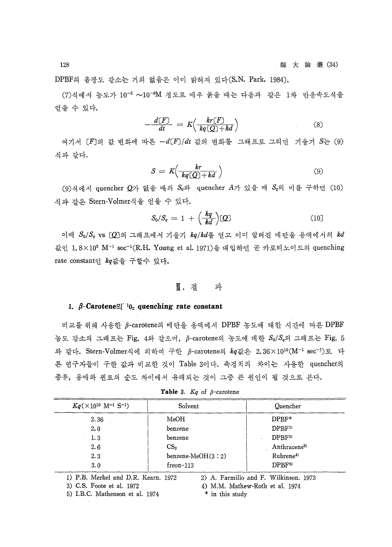DPBF의 흡광도 감소는 거의 없음은 이미 밝혀져 있다(S.N. Park. 1984).

(7)식에서 농도가 10<sup>-5</sup> ~10<sup>-6</sup>M 정도로 매우 묽을 때는 다음과 같은 1차 반응속도식을 얻을 수 있다.

$$
-\frac{d[F]}{dt} = K\left(\frac{kr[F]}{kq[Q]+kd}\right) \tag{8}
$$

여기서  $[F]$ 의 값 변화에 따른  $-d[F]/dt$  값의 변화를 그래프로 그리면 기울기  $S$ 는 (9) 식과같다.

$$
S = K\left(\frac{kr}{kq(Q)+kd}\right) \tag{9}
$$

(9) 식에서 quencher  $Q$ 가 없을 때의  $S_0$ 와 quencher  $A$ 가 있을 때  $S_q$ 의 비를 구하면 (10) 식과 같은 Stern-Volmer식을 얻을 수 있다.

$$
S_0/S_q = 1 + \left(\frac{kq}{kd}\right)[Q] \tag{10}
$$

이때  $S_0/S_a$  vs  $[Q]$ 의 그래프에서 기울기  $kq/kd$ 를 얻고 이미 알려진 메탄올 용액에서의  $kd$ 값인 1.8×10<sup>5</sup> M<sup>-1</sup> sec<sup>-1</sup>(R.H. Young et al. 1971)을 대입하면 곧 카로티노이드의 quenching rate constantol kg값을 구할수 있다.

#### $\mathbb{I}$ . 4 과

## 1.  $\beta$ -Carotene<sup>o</sup> <sup>1</sup>0<sub>2</sub> quenching rate constant

비교를 위해 사용한  $\beta$ -carotene의 메탄을 용액에서 DPBF 농도에 대한 시간에 따른 DPBF 농도 감소의 그래프는 Fig. 4와 같으며, β-carotene의 농도에 대한  $S_0/S_q$ 의 그래프는 Fig. 5 와 같다. Stern-Volmer식에 의하여 구하 β-carotene의  $kq$ 값은 2.36×10<sup>10</sup>(M<sup>-1</sup> sec<sup>-1</sup>)로 다 른 연구자들이 구한 값과 비교한 것이 Table 3이다. 측정치의 차이는 사용한 quencher의 종류, 용매와 원료의 순도 차이에서 유래되는 것이 그중 큰 원인이 될 것으로 본다.

| $Kq \times 10^{10}$ M <sup>-1</sup> S <sup>-1</sup> ) | Solvent             | Quencher                |
|-------------------------------------------------------|---------------------|-------------------------|
| 2.36                                                  | MeOH                | DPBF*                   |
| 2.0                                                   | benzene             | DPBF <sup>1)</sup>      |
| 1.3                                                   | benzene             | DPBF <sup>2</sup>       |
| 2.6                                                   | CS <sub>2</sub>     | Anthracene <sup>3</sup> |
| 2.3                                                   | $benzene-MeOH(3:2)$ | Rubrene <sup>4)</sup>   |
| 3.0                                                   | $freen-113$         | DPBF <sub>5</sub>       |

 $\frac{\mu}{\pi}$ &. Table 3.  $\cancel{S}$ 

3) C.S. Foote et al. 1972

5) I. B.C. Mathenson et al. 1974

<sup>4)</sup> M.M. Mathew-Roth et al. 1974 \* in this study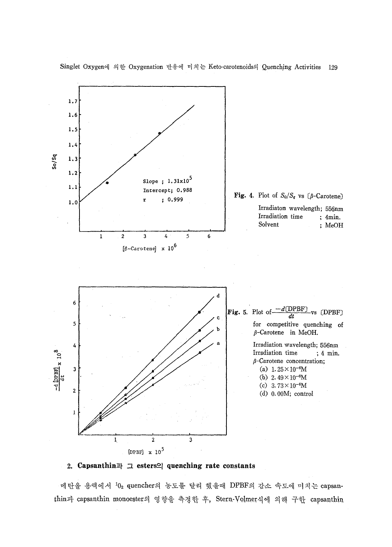

### 2. Capsanthin  $\exists$  esters<sup>o</sup> quenching rate constants

메탄올 용액에서  $^10_2$  quencher의 농도를 달리 했을때 DPBF의 감소 속도에 미치는 capsanthin과 capsanthin monoester의 영향을 측정한 후, Stern-Volmer식에 의해 구한 capsanthin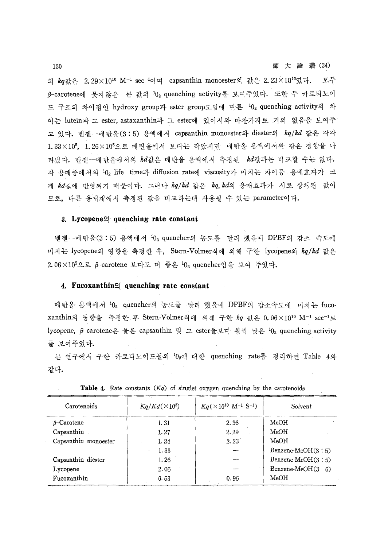의  $kq$ 값은 2.29 $\times 10^{10}$  M<sup>-1</sup> sec<sup>-1</sup>이며 capsanthin monoester의 값은 2.23 $\times 10^{10}$ 였다. 모두 B-carotene에 못지않은 큰 값의 102 quenching activity를 보여주었다. 또한 두 카로티노이 드 구조의 차이점인 hydroxy group과 ester group도입에 따른 102 quenching activity의 차 이는 lutein과 그 ester, astaxanthin과 그 ester에 있어서와 마차가지로 거의 없음을 보여주 고 있다. 벤젠-메탄올(3:5) 용액에서 capsanthin monoester와 diester의 kq/kd 값은 각각 1.33×105, 1.26×105으로 메탄올에서 보다는 작았지만 메탄올 용액에서와 같은 경향을 나 타냈다. 벤젠--메탄올에서의 kd값은 메탄올 용액에서 측정된 kd값과는 비교할 수는 없다. 각 용매중에서의 102 life time과 diffusion rate에 viscosity가 미치는 차이등 용매효과가 크 게 kd값에 반영되기 때문이다. 그러나 kq/kd 값은 kq,kd의 용매효과가 서로 상쇄된 값이 묘로, 다른 용애계에서 측정된 값을 비교하는데 사용될 수 있는 parameter

# $3.$  Lycopene $2$  quenching rate constant

벤젠-메탄올(3:5) 용액에서 102 queneher의 농도를 달리 했을때 DPBF의 감소 속도에 미치는 lycopene의 영향을 측정한 후, Stern-Volmer식에 의해 구한 lycopene의 kq/kd 값은 2.06×10<sup>5</sup>으로 β-carotene 보다도 더 좋은  $0_2$  quencher 임을 보여 주었다.

## 4. Fucoxanthin<sup>o</sup> quenching rate constant

메탄올 용액에서 102 quencher의 농도를 달리 했을때 DPBF의 감소속도에 미치는 fucoxanthin의 영향을 측정한 후 Stern-Volmer식에 의해 구한 kq 값은 0.96×10<sup>10</sup> M<sup>-1</sup> sec<sup>-1</sup>로 lycopene, β-carotene은 물론 capsanthin 및 그 ester들보다 훨씩 낮은 <sup>1</sup>0<sub>2</sub> quenching activity 를 보여주었다.

본 연구에서 구한 카로티노이드들의 102에 대한 quenching rate를 정리하면 Table 4와 같다.

| Carotenoids          | $Kq/Kd(\times 10^5)$ | $Kq$ (×10 <sup>10</sup> M <sup>-1</sup> S <sup>-1</sup> ) | Solvent               |
|----------------------|----------------------|-----------------------------------------------------------|-----------------------|
| β-Carotene           | 1.31                 | 2.36                                                      | MeOH                  |
| Capsanthin           | 1.27                 | 2.29                                                      | MeOH                  |
| Capsanthin monoester | 1.24                 | 2.23                                                      | MeOH                  |
|                      | 1.33                 |                                                           | Benzene-MeO $H(3:5)$  |
| Capsanthin diester   | 1.26                 |                                                           | Benzene-MeO $H(3:5)$  |
| Lycopene             | 2.06                 |                                                           | Benzene-MeO $H(3, 5)$ |
| Fucoxanthin          | 0.53                 | 0.96                                                      | MeOH                  |

Table 4. Rate constants *(Kq)* of singlet oxygen quenching by the carotenoids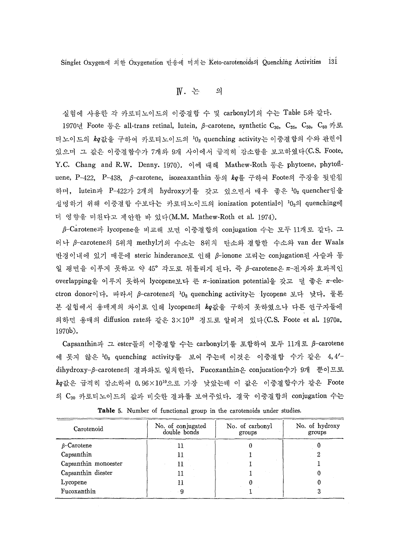$N.$  논 $-$ 의

실험에 사용한 각 카로티노이드의 이중결합 수 및 carbonyl기의 수는 Table 5와 같다. 1970년 Foote 등은 all-trans retinal, lutein,  $\beta$ -carotene, synthetic C<sub>30</sub>, C<sub>55</sub>, C<sub>50</sub>, C<sub>60</sub> 카로 티노이드의  $\boldsymbol{k}q$ 값을 구하여 카로티노이드의  $^10_2$  quenching activity는 이중결합의 수와 관련이 있으며 그 값은 이중결합수가 7개와 9개 사이에서 급격히 감소함을 보고하였다(C.S. Foote, Y.C. Chang and R.W. Denny. 1970). 이에 대해 Mathew-Roth 등은 phytoene, phytofiuene, P-422, P-438, β-carotene, isozeaxanthin 등의  $\mathit{kq}$ 를 구하여 Foote의 주장을 뒷받침 하며, lutein과 P-422가 2개의 hydroxy기를 갖고 있으면서 매우 좋은 102 quencher임을 설명하기 위해 이중결합 수보다는 카로티노이드의 ionization potential이 102의 quenching에 더 영향을 미친다고 제안한 바 있다 $(M.M.$  Mathew-Roth et al. 1974).

B-Carotene과 lycopene을 비교해 보면 이중결합의 conjugation 수는 모두 11개로 같다. 그 러나 β-carotene의 5위치 methyl기의 수소는 8위치 탄소와 결합한 수소와 van der Waals 반경이내에 있기 때문에 steric hinderance로 인해 β-ionone 고리는 conjugation된 사슬과 동 일 평면을 이루지 못하고 약 45° 각도로 뒤틀리게 된다. 즉 β-carotene은 π-전자와 효과적인 overlapping을 이루지 못하여 lycopene보다 큰 π-ionization potential을 갖고 덜 좋은 π-electron donor이다. 따라서 β-carotene의  $10_2$  quenching activity는 lycopene 보다 낮다. 물론 본 실험에서 용매계의 차이로 인해 lycopene의 kq값을 구하지 못하였으나 다른 연구자들에 의하면 용매의 diffusion rate와 같은  $3\times 10^{10}$  정도로 알려져 있다(C.S. Foote et al. 1970a. 1970b).

Capsanthin과 그 ester들의 이중결합 수는 carbonyl기를 포함하여 모두 11개로 β-carotene 에 못지 않은 102 quenching activity를 보여 주는데 이것은 이중결합 수가 같은 4,4'dihydroxy-B-carotene의 결과와도 일치하다. Fucoxanthin은 conjucation수가 9개 뿐이므로  $kq$ 값은 급격히 감소하여 0.96×10<sup>10</sup>으로 가장 낮았는데 이 값은 이중결합수가 같은 Foote 의 C<sub>30</sub> 카로티노이드의 값과 비슷한 결과를 보여주었다. 결국 이중결합의 conjugation 수는

| Carotenoid           | No. of conjugated<br>double bonds | No. of carbonyl<br>groups | No. of hydroxy<br>groups |
|----------------------|-----------------------------------|---------------------------|--------------------------|
| $\beta$ -Carotene    |                                   |                           |                          |
| Capsanthin           |                                   |                           |                          |
| Capsanthin monoester | 11                                |                           |                          |
| Capsanthin diester   |                                   |                           |                          |
| Lycopene             |                                   |                           |                          |
| Fucoxanthin          | g                                 |                           |                          |

Table 5. Number of functional group in the carotenoids under studies.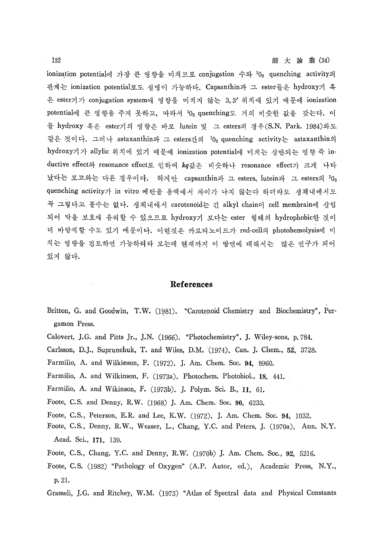ionization potential에 가장 큰 영향을 미치므로 conjugation 수와 <sup>1</sup>0<sub>2</sub> quenching activity의 관계는 ionization potential로도 설명이 가능하다. Capsanthin과 그 ester들은 hydroxy기 혹 은 ester기가 conjugation system에 영향을 미치지 않는 3,3' 위치에 있기 때문에 ionization potential에 큰 영향을 주지 못하고, 따라서 <sup>1</sup>0<sub>2</sub> quenching도 거의 비슷한 값을 갖는다. 이 들 hydroxy 혹은 ester기의 영향은 바로 lutein 및 그 esters의 경우(S.N. Park. 1984)와도 같은 것이다. 그러나 astaxanthin과 그 esters간의  $^10_2$  quenching activity는 astaxanthin의 hydroxy기가 allylic 위치에 있기 때문에 ionization potential에 미치는 상반되는 영향 즉 inductive effect와 resonance effect로 인하여 kq값은 비슷하나 resonance effect가 크게 나타 났다는 보고와는 다른 경우이다. 하지만 capsanthin과 그 esters, lutein과 그 esters의  $^{\rm 10}$ 2 quenching activity가 in vitro 메탄을 용액에서 차이가 나지 않는다 하더라도 생체내에서도 꼭 그렇다고 볼수는 없다. 생체내에서 carotenoid는 긴 alkyl chain이 cell membrain에 삽입 되어 막을 보호에 유리할 수 있으므로 hydroxy기 보다는 ester 형태의 hydrophobic한 것이 더 바람직할 수도 있기 때문이다. 이런것은 카로티노이드가 red-cell의 photohemolysis에 미 치는 영향을 검토하면 가능하리라 보는데 현재까지 이 방면에 대해서는 많은 연구가 되어 있지 않다.

# References

- Britton, G. and Goodwin, T.W. (1981). "Carotenoid Chemistry and Biochemistry", Pergamon Press.
- Calovert, J.G. and Pitts ]r., J.N. (1966) . "Photochemistry", ]. Wiley-sons, p.784.
- Carlsson, D.]. , Suprunehuk, T. and Wiles, D.M.(1974). Can. ]. Chem., 52, 3728.
- Farmilio, A. and Wilkinson, F. (1972). J. Am. Chem. Soc. 94, 8960.
- Farmilio, A. and Wilkinson, F. (1973a). Photochem. Photobiol., 18, 441.
- Farmilio, A. and Wikinson, F. (1973b). ]. Polym. Sci. B., 11, 61.
- Foote, C.S. and Denny, R.W. (1968) J. Am. Chem. Soc. 90, 6233.
- Foote, C.S., Peterson, E.R. and Lee, K.W. (1972). J. Am. Chem. Soc' 94, 1032.
- Foote, C.S. , Denny, R.W., Weaser, L., Chang, Y.C. and Peters, ]. (1970a). Ann. N.Y. Acad. Sci., 171, 139.
- Foote, C.S., Chang, Y.C. and Denny, R.W. (1970b) ]. Am. Chem. Soc., 92, 5216.
- Foote, C.S. (1982) "Pathology of Oxygen" (A.P. Autor, ed.), Academic Press, N.Y., p.21.
- Grasseli, J.G. and Ritchey, W.M. (1973) "Atlas of Spectral data and Physical Constants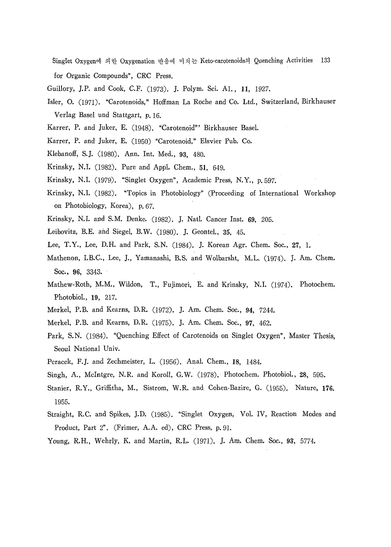Singlet Oxygen에 의한 Oxygenation 반응에 미치는 Keto-carotenoids의 Quenching Activities 133 for Organic Compounds", CRC Press.

- Guillory, J.P. and Cook, C.F. (1973). J. Polym. Sci. A1., 11, 1927.
- Isler, O. (1971) . "Carotenoids," Hoffman La Roche and Co. Ltd., Switzerland, Birkhauser Verlag Basel und Stattgart, p.16.
- Karrer, P. and Juker, E. (1948). "Carotenoid" Birkhauser Basel.
- Karrer, P. and Juker, E. (1950) "Carotenoid," Elsvier Pub. Co.
- Klebanoff, S.J. (1980) . Ann. Int. Med., 93, 480.
- Krinsky, N.I. (1982). Pure and Appl. Chem., 51, 649.
- Krinsky, N.I. (1979). "Singlet Oxygen", Academic Press, N.Y., p. 597.
- Krinsky, N.I. (1982). "Topics in Photobiology" (Proceeding of International Workshop on Photobiology, Korea), p.67.
- Krinsky, N.I. and S.M. Denke. (1982). J. Natl. Cancer Inst. 69, 205.
- Leibovitz, B.E. and Siegel, B.W. (1980). J. Geontel., 35, 45.
- Lee, T.Y., Lee, D.H. and Park, S.N. (1984). J. Korean Agr. Chem. Soc., 27, 1.
- Mathenon, I.B.C., Lee, J., Yamanashi, B.S. and Wolbarsht, M.L. (1974). J. Am. Chem. Soc., 96, 3343.
- Mathew-Roth, M.M., Wildon, T., Fujimori, E. and Krinsky, N.I. (1974). Photochem. Photobiol., 19, 217.
- Merkel, P.B. and Kearns, D.R. (1972). J. Am. Chem. Soc., 94, 7244.
- Merkel, P.B. and Kearns, D.R. (1975). J. Am. Chem. Soc., 97, 462.
- Park, S.N. (1984). "Quenching Effect of Carotenoids on Singlet Oxygen", Master Thesis, Seoul National Univ.
- Peracek, F.J. and Zechmeister, L. (1956). Anal. Chem., 18, 1484.
- Singh, A., McIntgre, N.R. and Koroll, G.W.  $(1978)$ . Photochem. Photobiol., 28, 595.
- Stanier, R.Y., Griffitha, M., Sistrom, W.R. and Cohen-Bazire, G. (1955). Nature, 176. 1955.
- Straight, R.C. and Spikes, J.D. (1985) . "Singlet Oxygen, V01. IV, Reaction Modes and Product, Part 2". (Frimer, A.A. ed), CRC Press, p.9I.
- Young, R.H., Wehrly, K. and Martin, R.L. (1971). J. Am. Chem. Soc., 93, 5774.